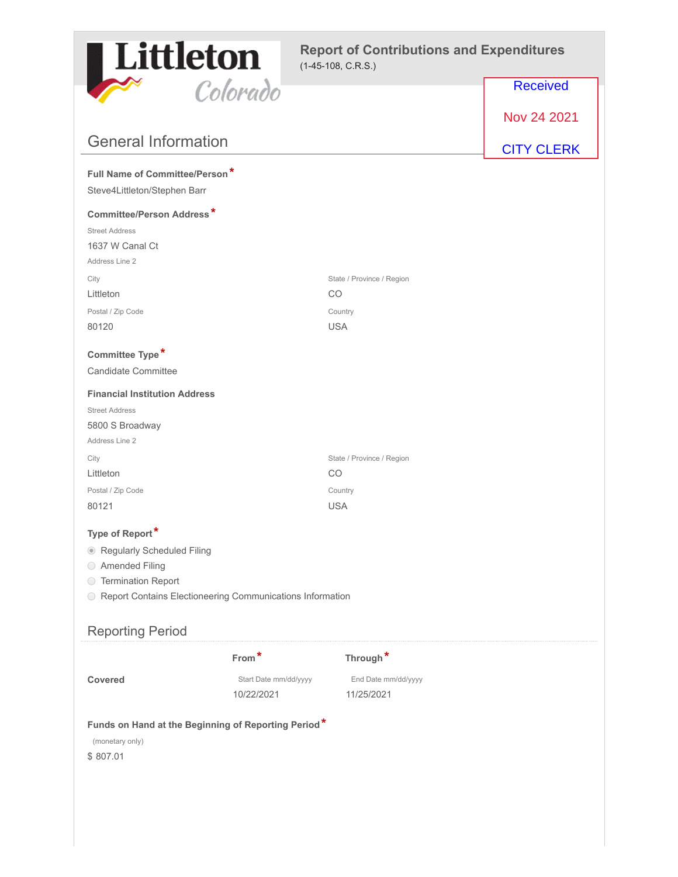

### **Report of Contributions and Expenditures** (1-45-108, C.R.S.)

|                                                                                    | Colorado              |                           | <b>Received</b>   |
|------------------------------------------------------------------------------------|-----------------------|---------------------------|-------------------|
|                                                                                    |                       |                           | Nov 24 2021       |
| <b>General Information</b>                                                         |                       |                           |                   |
|                                                                                    |                       |                           | <b>CITY CLERK</b> |
| Full Name of Committee/Person*                                                     |                       |                           |                   |
| Steve4Littleton/Stephen Barr                                                       |                       |                           |                   |
| <b>Committee/Person Address*</b>                                                   |                       |                           |                   |
| <b>Street Address</b>                                                              |                       |                           |                   |
| 1637 W Canal Ct                                                                    |                       |                           |                   |
| Address Line 2                                                                     |                       |                           |                   |
| City                                                                               |                       | State / Province / Region |                   |
| Littleton                                                                          |                       | CO                        |                   |
| Postal / Zip Code<br>80120                                                         |                       | Country<br><b>USA</b>     |                   |
|                                                                                    |                       |                           |                   |
| Committee Type*                                                                    |                       |                           |                   |
| Candidate Committee                                                                |                       |                           |                   |
| <b>Financial Institution Address</b>                                               |                       |                           |                   |
| <b>Street Address</b>                                                              |                       |                           |                   |
| 5800 S Broadway                                                                    |                       |                           |                   |
| Address Line 2                                                                     |                       |                           |                   |
| City                                                                               |                       | State / Province / Region |                   |
| Littleton                                                                          |                       | CO                        |                   |
| Postal / Zip Code                                                                  |                       | Country                   |                   |
| 80121                                                                              |                       | <b>USA</b>                |                   |
| Type of Report*                                                                    |                       |                           |                   |
| <b>Regularly Scheduled Filing</b><br>$\circledcirc$                                |                       |                           |                   |
| ◯ Amended Filing                                                                   |                       |                           |                   |
| ◯ Termination Report                                                               |                       |                           |                   |
| ○ Report Contains Electioneering Communications Information                        |                       |                           |                   |
| <b>Reporting Period</b>                                                            |                       |                           |                   |
|                                                                                    | From*                 | Through*                  |                   |
| <b>Covered</b>                                                                     | Start Date mm/dd/yyyy | End Date mm/dd/yyyy       |                   |
|                                                                                    | 10/22/2021            | 11/25/2021                |                   |
| Funds on Hand at the Beginning of Reporting Period*<br>(monetary only)<br>\$807.01 |                       |                           |                   |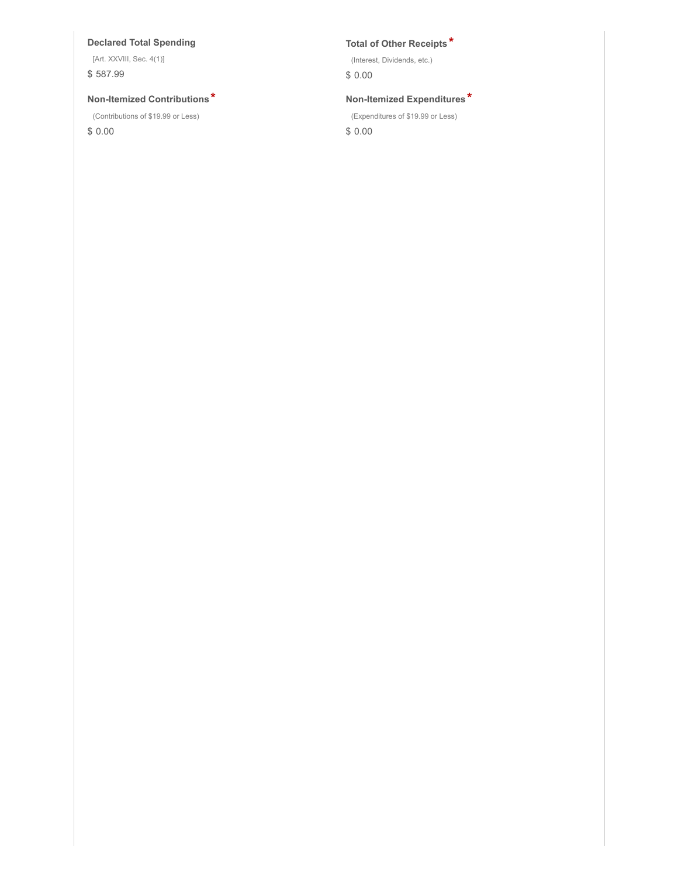### **Declared Total Spending Total of Other Receipts \***

[Art. XXVIII, Sec. 4(1)] \$ 587.99

### **Non-Itemized Contributions \* Non-Itemized Expenditures \***

(Contributions of \$19.99 or Less)

\$ 0.00

(Interest, Dividends, etc.)

\$ 0.00

(Expenditures of \$19.99 or Less)

\$ 0.00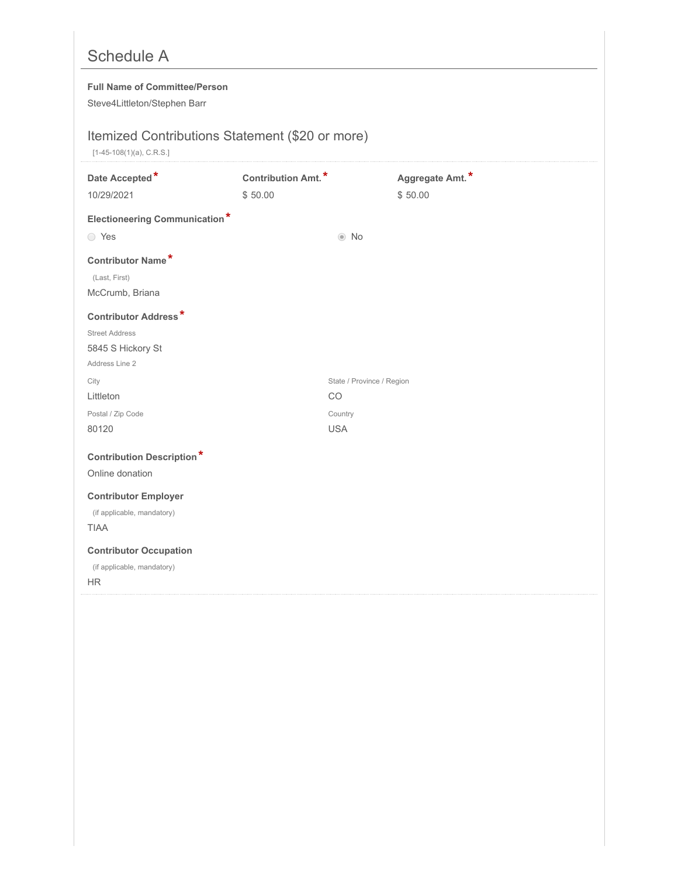# Schedule A

### **Full Name of Committee/Person**

Steve4Littleton/Stephen Barr

## Itemized Contributions Statement (\$20 or more)

[1-45-108(1)(a), C.R.S.]

| Date Accepted*<br>10/29/2021         | Contribution Amt. <sup>*</sup><br>\$50.00 |                           | Aggregate Amt.*<br>\$50.00 |
|--------------------------------------|-------------------------------------------|---------------------------|----------------------------|
| <b>Electioneering Communication*</b> |                                           |                           |                            |
| ○ Yes                                |                                           | $\odot$ No                |                            |
| Contributor Name*                    |                                           |                           |                            |
| (Last, First)                        |                                           |                           |                            |
| McCrumb, Briana                      |                                           |                           |                            |
| <b>Contributor Address*</b>          |                                           |                           |                            |
| <b>Street Address</b>                |                                           |                           |                            |
| 5845 S Hickory St                    |                                           |                           |                            |
| Address Line 2                       |                                           |                           |                            |
| City                                 |                                           | State / Province / Region |                            |
| Littleton                            |                                           | CO                        |                            |
| Postal / Zip Code                    |                                           | Country                   |                            |
| 80120                                |                                           | <b>USA</b>                |                            |
| <b>Contribution Description*</b>     |                                           |                           |                            |
| Online donation                      |                                           |                           |                            |
| <b>Contributor Employer</b>          |                                           |                           |                            |
| (if applicable, mandatory)           |                                           |                           |                            |
| <b>TIAA</b>                          |                                           |                           |                            |
| <b>Contributor Occupation</b>        |                                           |                           |                            |
| (if applicable, mandatory)           |                                           |                           |                            |
| <b>HR</b>                            |                                           |                           |                            |
|                                      |                                           |                           |                            |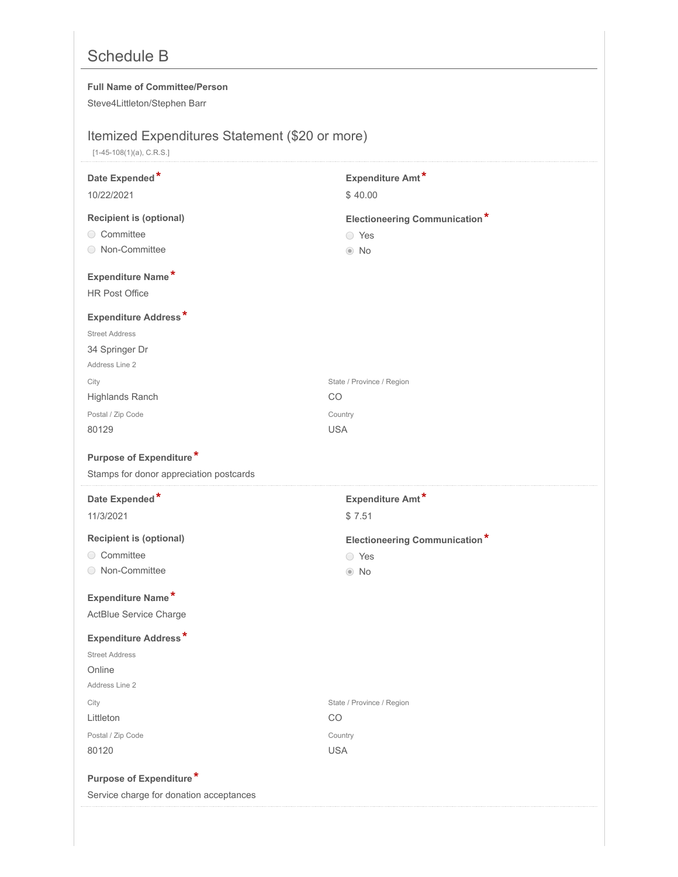# Schedule B

### **Full Name of Committee/Person**

Steve4Littleton/Stephen Barr

## Itemized Expenditures Statement (\$20 or more)

[1-45-108(1)(a), C.R.S.]

| Date Expended*                          | Expenditure Amt*                     |
|-----------------------------------------|--------------------------------------|
| 10/22/2021                              | \$40.00                              |
| <b>Recipient is (optional)</b>          | <b>Electioneering Communication*</b> |
| ○ Committee                             | ◯ Yes                                |
| ◯ Non-Committee                         | $\odot$ No                           |
| Expenditure Name*                       |                                      |
| <b>HR Post Office</b>                   |                                      |
| <b>Expenditure Address*</b>             |                                      |
| <b>Street Address</b>                   |                                      |
| 34 Springer Dr                          |                                      |
| Address Line 2                          |                                      |
| City                                    | State / Province / Region            |
| Highlands Ranch                         | CO                                   |
| Postal / Zip Code                       | Country                              |
| 80129                                   | <b>USA</b>                           |
| Purpose of Expenditure*                 |                                      |
| Stamps for donor appreciation postcards |                                      |
|                                         |                                      |
| Date Expended*                          | Expenditure Amt*                     |
| 11/3/2021                               | \$7.51                               |
| <b>Recipient is (optional)</b>          | <b>Electioneering Communication*</b> |
| ◯ Committee                             | ◯ Yes                                |
| ◯ Non-Committee                         | $\odot$ No                           |
| Expenditure Name*                       |                                      |
| ActBlue Service Charge                  |                                      |
| <b>Expenditure Address*</b>             |                                      |
| <b>Street Address</b>                   |                                      |
| Online                                  |                                      |
| Address Line 2                          |                                      |
| City                                    | State / Province / Region            |
| Littleton                               | CO                                   |
| Postal / Zip Code                       | Country                              |
| 80120                                   | <b>USA</b>                           |
| Purpose of Expenditure*                 |                                      |
| Service charge for donation acceptances |                                      |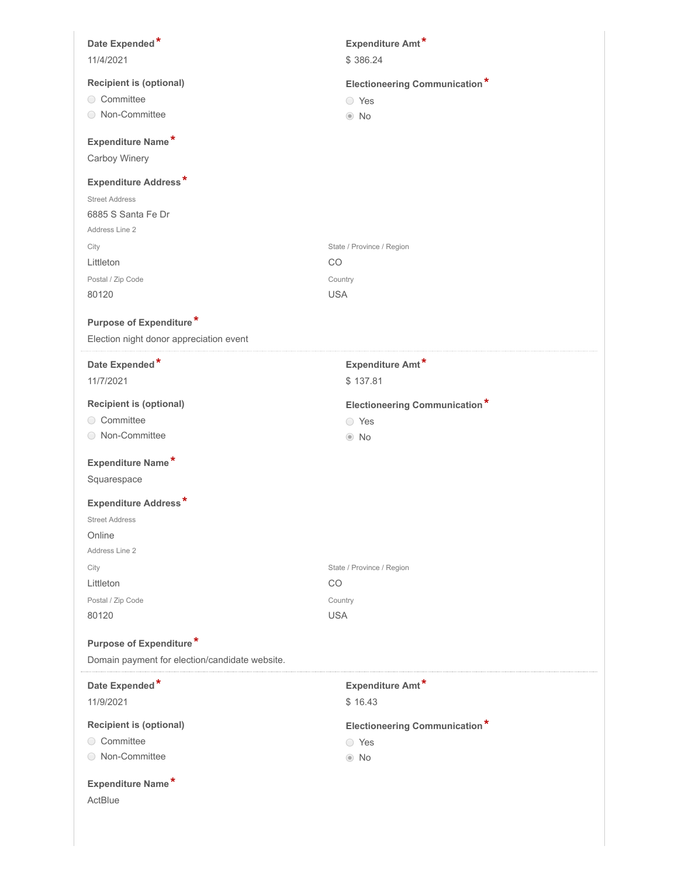| Date Expended*                                 | Expenditure Amt*                     |
|------------------------------------------------|--------------------------------------|
| 11/4/2021                                      | \$386.24                             |
| <b>Recipient is (optional)</b>                 |                                      |
| ○ Committee                                    | <b>Electioneering Communication*</b> |
| ◯ Non-Committee                                | ◯ Yes                                |
|                                                | $\odot$ No                           |
| Expenditure Name*                              |                                      |
| Carboy Winery                                  |                                      |
| <b>Expenditure Address*</b>                    |                                      |
| <b>Street Address</b>                          |                                      |
| 6885 S Santa Fe Dr                             |                                      |
| Address Line 2                                 |                                      |
| City                                           | State / Province / Region            |
| Littleton                                      | CO                                   |
| Postal / Zip Code                              | Country                              |
| 80120                                          | <b>USA</b>                           |
|                                                |                                      |
| Purpose of Expenditure*                        |                                      |
| Election night donor appreciation event        |                                      |
| Date Expended*                                 | Expenditure Amt*                     |
| 11/7/2021                                      | \$137.81                             |
| <b>Recipient is (optional)</b>                 | <b>Electioneering Communication*</b> |
| ○ Committee                                    | ◯ Yes                                |
| ◯ Non-Committee                                | $\odot$ No                           |
|                                                |                                      |
| Expenditure Name*                              |                                      |
| Squarespace                                    |                                      |
| Expenditure Address*                           |                                      |
| <b>Street Address</b>                          |                                      |
| Online                                         |                                      |
| Address Line 2                                 |                                      |
| City                                           | State / Province / Region            |
| Littleton                                      | CO                                   |
| Postal / Zip Code                              | Country                              |
| 80120                                          | <b>USA</b>                           |
|                                                |                                      |
| Purpose of Expenditure*                        |                                      |
| Domain payment for election/candidate website. |                                      |
| Date Expended*                                 | Expenditure Amt*                     |
| 11/9/2021                                      | \$16.43                              |
|                                                |                                      |
| <b>Recipient is (optional)</b>                 | <b>Electioneering Communication*</b> |
| ◯ Committee                                    | ◯ Yes                                |
| Non-Committee                                  | $\odot$ No                           |
| Expenditure Name*                              |                                      |
| ActBlue                                        |                                      |
|                                                |                                      |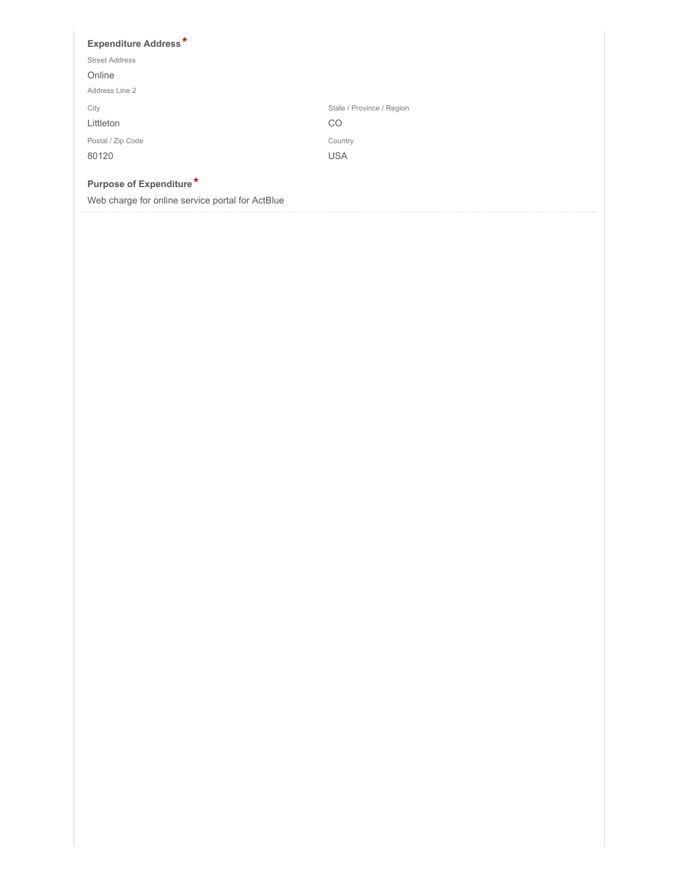### **Expenditure Address \* Purpose of Expenditure \*** City Littleton State / Province / Region CO Postal / Zip Code 80120 Country USA Street Address Online Address Line 2 Web charge for online service portal for ActBlue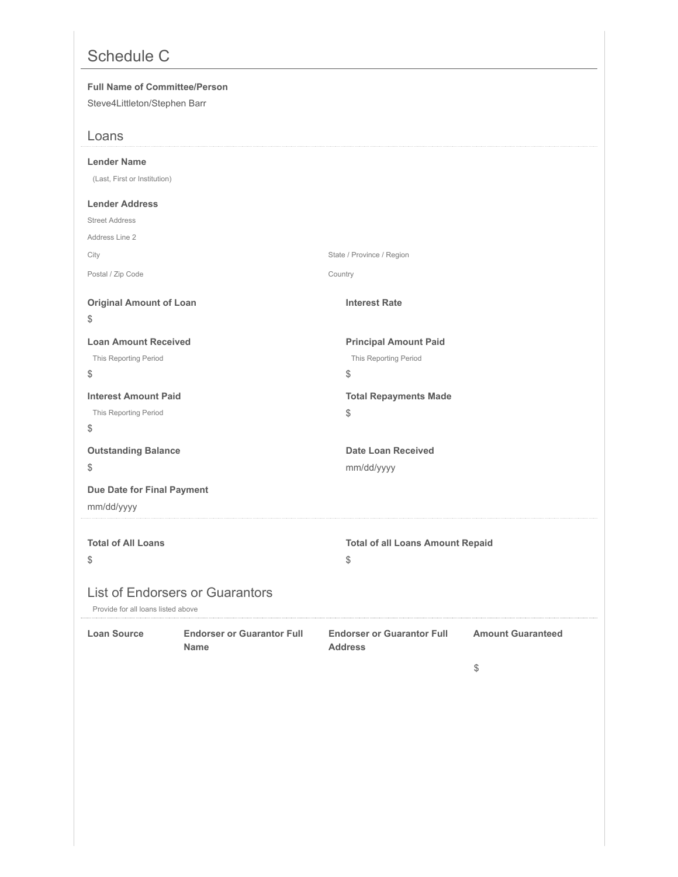# Schedule C

| <b>Full Name of Committee/Person</b><br>Steve4Littleton/Stephen Barr |                                                  |                                                             |                                |
|----------------------------------------------------------------------|--------------------------------------------------|-------------------------------------------------------------|--------------------------------|
| Loans                                                                |                                                  |                                                             |                                |
| <b>Lender Name</b><br>(Last, First or Institution)                   |                                                  |                                                             |                                |
| <b>Lender Address</b>                                                |                                                  |                                                             |                                |
| <b>Street Address</b>                                                |                                                  |                                                             |                                |
| Address Line 2                                                       |                                                  |                                                             |                                |
| City                                                                 |                                                  | State / Province / Region                                   |                                |
| Postal / Zip Code                                                    |                                                  | Country                                                     |                                |
| <b>Original Amount of Loan</b><br>\$                                 |                                                  | <b>Interest Rate</b>                                        |                                |
| <b>Loan Amount Received</b><br>This Reporting Period<br>\$           |                                                  | <b>Principal Amount Paid</b><br>This Reporting Period<br>\$ |                                |
| <b>Interest Amount Paid</b><br>This Reporting Period<br>\$           |                                                  | <b>Total Repayments Made</b><br>\$                          |                                |
| <b>Outstanding Balance</b>                                           |                                                  | <b>Date Loan Received</b>                                   |                                |
| \$                                                                   |                                                  | mm/dd/yyyy                                                  |                                |
| Due Date for Final Payment<br>mm/dd/yyyy                             |                                                  |                                                             |                                |
| <b>Total of All Loans</b><br>\$                                      |                                                  | <b>Total of all Loans Amount Repaid</b><br>\$               |                                |
| Provide for all loans listed above                                   | <b>List of Endorsers or Guarantors</b>           |                                                             |                                |
| <b>Loan Source</b>                                                   | <b>Endorser or Guarantor Full</b><br><b>Name</b> | <b>Endorser or Guarantor Full</b><br><b>Address</b>         | <b>Amount Guaranteed</b><br>\$ |
|                                                                      |                                                  |                                                             |                                |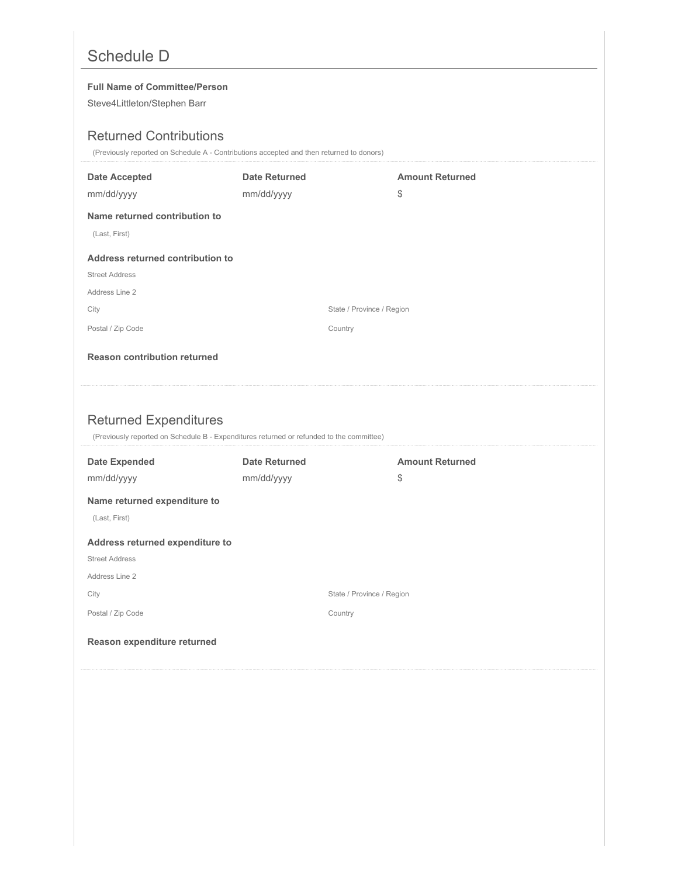# Schedule D

### **Full Name of Committee/Person**

Steve4Littleton/Stephen Barr

### Returned Contributions

(Previously reported on Schedule A - Contributions accepted and then returned to donors)

| <b>Date Accepted</b>                | <b>Date Returned</b>                                                                     | <b>Amount Returned</b> |
|-------------------------------------|------------------------------------------------------------------------------------------|------------------------|
| mm/dd/yyyy                          | mm/dd/yyyy                                                                               | \$                     |
| Name returned contribution to       |                                                                                          |                        |
| (Last, First)                       |                                                                                          |                        |
| Address returned contribution to    |                                                                                          |                        |
| <b>Street Address</b>               |                                                                                          |                        |
| Address Line 2                      |                                                                                          |                        |
| City                                | State / Province / Region                                                                |                        |
| Postal / Zip Code                   | Country                                                                                  |                        |
| <b>Reason contribution returned</b> |                                                                                          |                        |
|                                     |                                                                                          |                        |
|                                     |                                                                                          |                        |
|                                     |                                                                                          |                        |
|                                     |                                                                                          |                        |
| <b>Returned Expenditures</b>        | (Previously reported on Schedule B - Expenditures returned or refunded to the committee) |                        |
| <b>Date Expended</b>                | <b>Date Returned</b>                                                                     | <b>Amount Returned</b> |
| mm/dd/yyyy                          | mm/dd/yyyy                                                                               | \$                     |
| Name returned expenditure to        |                                                                                          |                        |
| (Last, First)                       |                                                                                          |                        |
| Address returned expenditure to     |                                                                                          |                        |
| <b>Street Address</b>               |                                                                                          |                        |
| Address Line 2                      |                                                                                          |                        |
| City                                | State / Province / Region                                                                |                        |
| Postal / Zip Code                   | Country                                                                                  |                        |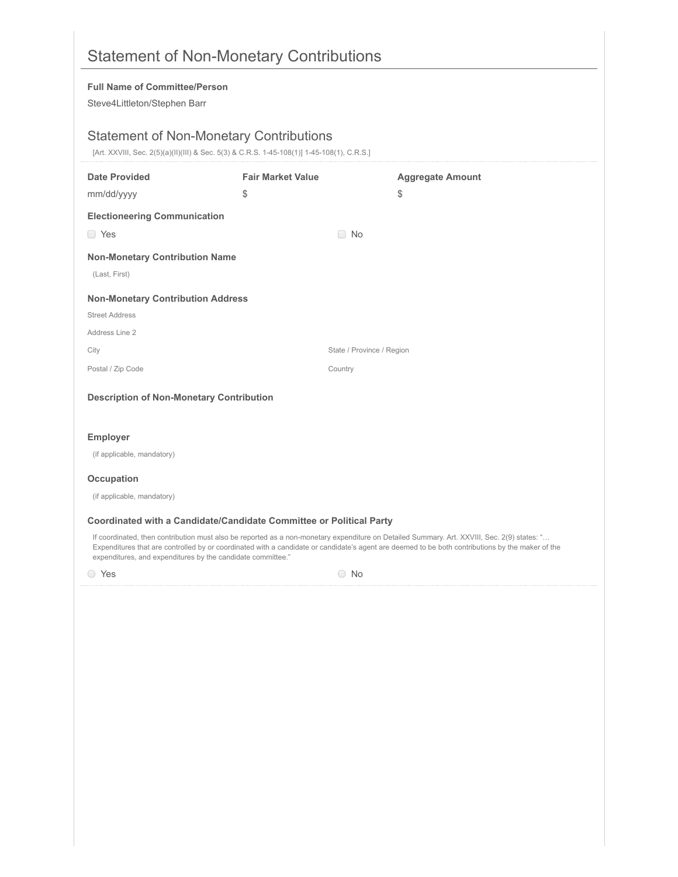|                                                             | <b>Statement of Non-Monetary Contributions</b>                                                                                               |                                                                                                                                                  |
|-------------------------------------------------------------|----------------------------------------------------------------------------------------------------------------------------------------------|--------------------------------------------------------------------------------------------------------------------------------------------------|
| <b>Full Name of Committee/Person</b>                        |                                                                                                                                              |                                                                                                                                                  |
| Steve4Littleton/Stephen Barr                                |                                                                                                                                              |                                                                                                                                                  |
|                                                             |                                                                                                                                              |                                                                                                                                                  |
|                                                             | <b>Statement of Non-Monetary Contributions</b><br>[Art. XXVIII, Sec. 2(5)(a)(II)(III) & Sec. 5(3) & C.R.S. 1-45-108(1)] 1-45-108(1), C.R.S.] |                                                                                                                                                  |
| <b>Date Provided</b>                                        | <b>Fair Market Value</b>                                                                                                                     | <b>Aggregate Amount</b>                                                                                                                          |
| mm/dd/yyyy                                                  | \$                                                                                                                                           | \$                                                                                                                                               |
| <b>Electioneering Communication</b>                         |                                                                                                                                              |                                                                                                                                                  |
| □ Yes                                                       | $\Box$ No                                                                                                                                    |                                                                                                                                                  |
| <b>Non-Monetary Contribution Name</b>                       |                                                                                                                                              |                                                                                                                                                  |
| (Last, First)                                               |                                                                                                                                              |                                                                                                                                                  |
| <b>Non-Monetary Contribution Address</b>                    |                                                                                                                                              |                                                                                                                                                  |
| <b>Street Address</b>                                       |                                                                                                                                              |                                                                                                                                                  |
| Address Line 2                                              |                                                                                                                                              |                                                                                                                                                  |
| City                                                        |                                                                                                                                              | State / Province / Region                                                                                                                        |
| Postal / Zip Code                                           | Country                                                                                                                                      |                                                                                                                                                  |
| <b>Description of Non-Monetary Contribution</b>             |                                                                                                                                              |                                                                                                                                                  |
| <b>Employer</b>                                             |                                                                                                                                              |                                                                                                                                                  |
| (if applicable, mandatory)                                  |                                                                                                                                              |                                                                                                                                                  |
| <b>Occupation</b>                                           |                                                                                                                                              |                                                                                                                                                  |
| (if applicable, mandatory)                                  |                                                                                                                                              |                                                                                                                                                  |
|                                                             |                                                                                                                                              |                                                                                                                                                  |
|                                                             | Coordinated with a Candidate/Candidate Committee or Political Party                                                                          | If coordinated, then contribution must also be reported as a non-monetary expenditure on Detailed Summary. Art. XXVIII, Sec. 2(9) states: "      |
| expenditures, and expenditures by the candidate committee." |                                                                                                                                              | Expenditures that are controlled by or coordinated with a candidate or candidate's agent are deemed to be both contributions by the maker of the |
| ○ Yes                                                       | $\bigcirc$ No                                                                                                                                |                                                                                                                                                  |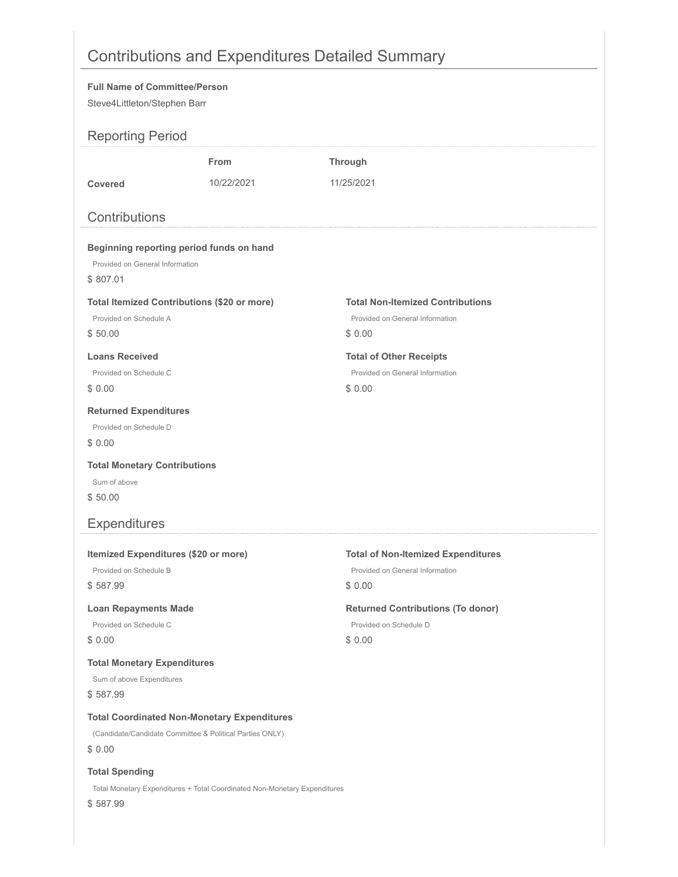# Contributions and Expenditures Detailed Summary

|                                                                                                                                                                                    |                                                                           | $\frac{1}{2}$                                                                          |  |
|------------------------------------------------------------------------------------------------------------------------------------------------------------------------------------|---------------------------------------------------------------------------|----------------------------------------------------------------------------------------|--|
| <b>Full Name of Committee/Person</b><br>Steve4Littleton/Stephen Barr                                                                                                               |                                                                           |                                                                                        |  |
| <b>Reporting Period</b>                                                                                                                                                            |                                                                           |                                                                                        |  |
| Covered<br>Contributions                                                                                                                                                           | <b>From</b><br>10/22/2021                                                 | <b>Through</b><br>11/25/2021                                                           |  |
| Beginning reporting period funds on hand<br>Provided on General Information<br>\$807.01<br><b>Total Itemized Contributions (\$20 or more)</b><br>Provided on Schedule A<br>\$50.00 |                                                                           | <b>Total Non-Itemized Contributions</b><br>Provided on General Information<br>\$0.00   |  |
| <b>Loans Received</b><br>Provided on Schedule C<br>\$0.00                                                                                                                          |                                                                           | <b>Total of Other Receipts</b><br>Provided on General Information<br>\$0.00            |  |
| <b>Returned Expenditures</b><br>Provided on Schedule D<br>\$0.00                                                                                                                   |                                                                           |                                                                                        |  |
| <b>Total Monetary Contributions</b><br>Sum of above<br>\$50.00                                                                                                                     |                                                                           |                                                                                        |  |
| <b>Expenditures</b>                                                                                                                                                                |                                                                           |                                                                                        |  |
| Itemized Expenditures (\$20 or more)<br>Provided on Schedule B<br>\$587.99                                                                                                         |                                                                           | <b>Total of Non-Itemized Expenditures</b><br>Provided on General Information<br>\$0.00 |  |
| <b>Loan Repayments Made</b><br>Provided on Schedule C<br>\$0.00                                                                                                                    |                                                                           | <b>Returned Contributions (To donor)</b><br>Provided on Schedule D<br>\$0.00           |  |
| <b>Total Monetary Expenditures</b><br>Sum of above Expenditures<br>\$587.99                                                                                                        |                                                                           |                                                                                        |  |
| <b>Total Coordinated Non-Monetary Expenditures</b><br>(Candidate/Candidate Committee & Political Parties ONLY)<br>\$0.00                                                           |                                                                           |                                                                                        |  |
| <b>Total Spending</b>                                                                                                                                                              | Total Monetary Expenditures + Total Coordinated Non-Monetary Expenditures |                                                                                        |  |

\$ 587.99